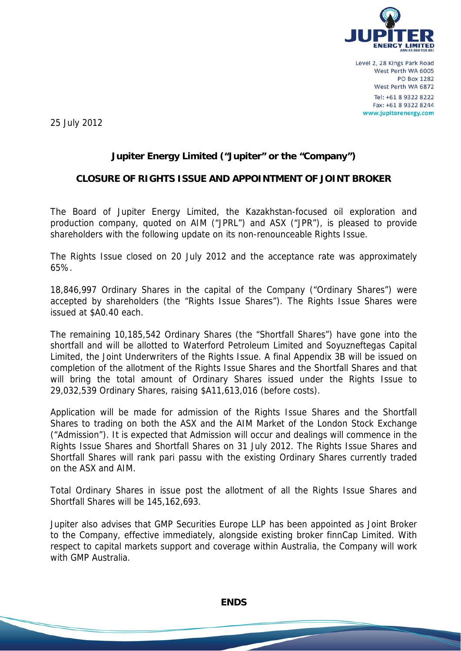

25 July 2012

## **Jupiter Energy Limited ("Jupiter" or the "Company")**

## **CLOSURE OF RIGHTS ISSUE AND APPOINTMENT OF JOINT BROKER**

The Board of Jupiter Energy Limited, the Kazakhstan-focused oil exploration and production company, quoted on AIM ("JPRL") and ASX ("JPR"), is pleased to provide shareholders with the following update on its non-renounceable Rights Issue.

The Rights Issue closed on 20 July 2012 and the acceptance rate was approximately 65%.

18,846,997 Ordinary Shares in the capital of the Company ("Ordinary Shares") were accepted by shareholders (the "Rights Issue Shares"). The Rights Issue Shares were issued at \$A0.40 each.

The remaining 10,185,542 Ordinary Shares (the "Shortfall Shares") have gone into the shortfall and will be allotted to Waterford Petroleum Limited and Soyuzneftegas Capital Limited, the Joint Underwriters of the Rights Issue. A final Appendix 3B will be issued on completion of the allotment of the Rights Issue Shares and the Shortfall Shares and that will bring the total amount of Ordinary Shares issued under the Rights Issue to 29,032,539 Ordinary Shares, raising \$A11,613,016 (before costs).

Application will be made for admission of the Rights Issue Shares and the Shortfall Shares to trading on both the ASX and the AIM Market of the London Stock Exchange ("Admission"). It is expected that Admission will occur and dealings will commence in the Rights Issue Shares and Shortfall Shares on 31 July 2012. The Rights Issue Shares and Shortfall Shares will rank pari passu with the existing Ordinary Shares currently traded on the ASX and AIM.

Total Ordinary Shares in issue post the allotment of all the Rights Issue Shares and Shortfall Shares will be 145,162,693.

Jupiter also advises that GMP Securities Europe LLP has been appointed as Joint Broker to the Company, effective immediately, alongside existing broker finnCap Limited. With respect to capital markets support and coverage within Australia, the Company will work with GMP Australia.